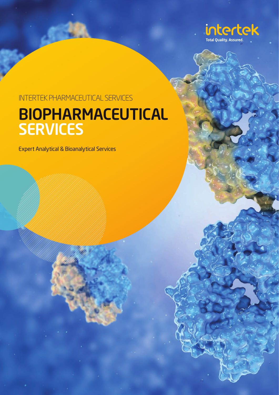

### INTERTEK PHARMACEUTICAL SERVICES BIOPHARMACEUTICAL **SERVICES**

Expert Analytical & Bioanalytical Services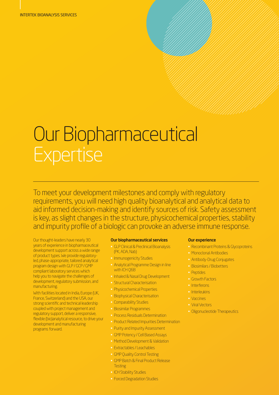# Our Biopharmaceutical **Expertise**

To meet your development milestones and comply with regulatory requirements, you will need high quality bioanalytical and analytical data to aid informed decision-making and identify sources of risk. Safety assessment is key, as slight changes in the structure, physicochemical properties, stability and impurity profile of a biologic can provoke an adverse immune response.

Our thought-leaders have nearly 30 years of experience in biopharmaceutical development support across a wide range of product types. We provide regulatoryled, phase-appropriate, tailored analytical program design with GLP / GCP / GMP compliant laboratory services which help you to navigate the challenges of development, regulatory submission, and manufacturing.

With facilities located in India, Europe (UK, France, Switzerland) and the USA, our strong scientific and technical leadership coupled with project management and regulatory support, deliver a responsive, flexible (bio)analytical resource, to drive your development and manufacturing programs forward.

#### Our biopharmaceutical services

- GLP Clinical & Preclinical Bioanalysis (PK, ADA, Nab)
- Immunogenicity Studies
- Analytical Programme Design in line with ICH Q6B
- Inhaled & Nasal Drug Development
- Structural Characterisation
- Physicochemical Properties
- Biophysical Characterisation
- Comparability Studies
- Biosimilar Programmes
- Process Residuals Determination
- Product Related Impurities Determination
- Purity and Impurity Assessment
- GMP Potency / Cell Based Assays
- Method Development & Validation
- Extractables / Leachables
- GMP Quality Control Testing
- GMP Batch & Final Product Release **Testing**
- ICH Stability Studies
- Forced Degradation Studies

#### Our experience

- Recombinant Proteins & Glycoproteins
- Monoclonal Antibodies
- Antibody-Drug Conjugates
- Biosimilars / Biobetters
- Peptides
- Growth Factors
- Interferons
- Interleukins
- Vaccines
- Viral Vectors
- Oligonucleotide Therapeutics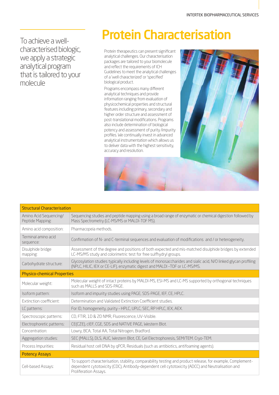To achieve a wellcharacterised biologic, we apply a strategic analytical program that is tailored to your molecule

## Protein Characterisation

Protein therapeutics can present significant analytical challenges. Our characterisation packages are tailored to your biomolecule and reflect the requirements of ICH Guidelines to meet the analytical challenges of a 'well characterized' or 'specified' biological product.

Programs encompass many different analytical techniques and provide information ranging from evaluation of physicochemical properties and structural features including primary, secondary and higher order structure and assessment of post-translational modifications. Programs also include determination of biological potency and assessment of purity /impurity profiles. We continually invest in advanced analytical instrumentation which allows us to deliver data with the highest sensitivity, accuracy and resolution.



| <b>Structural Characterisation</b>         |                                                                                                                                                                                                                                          |  |  |  |  |
|--------------------------------------------|------------------------------------------------------------------------------------------------------------------------------------------------------------------------------------------------------------------------------------------|--|--|--|--|
| Amino Acid Sequencing/<br>Peptide Mapping: | Sequencing studies and peptide mapping using a broad range of enzymatic or chemical digestion followed by<br>Mass Spectrometry (LC-MS/MS or MALDI-TOF MS).                                                                               |  |  |  |  |
| Amino acid composition:                    | Pharmacopeia methods.                                                                                                                                                                                                                    |  |  |  |  |
| Terminal amino acid<br>sequence:           | Confirmation of N- and C-terminal sequences and evaluation of modifications and / or heterogeneity.                                                                                                                                      |  |  |  |  |
| Disulphide bridge<br>mapping:              | Assessment of the degree and positions of both expected and mis-matched disulphide bridges by extended<br>LC-MS/MS study and colorimetric test for free sulfhydryl groups.                                                               |  |  |  |  |
| Carbohydrate structure:                    | Glycosylation studies typically including levels of monosaccharides and sialic acid, N/O linked glycan profiling<br>(NPLC, HILIC, IEX or CE-LIF), enzymatic digest and MALDI-TOF or LC-MS/MS.                                            |  |  |  |  |
| <b>Physico-chemical Properties</b>         |                                                                                                                                                                                                                                          |  |  |  |  |
| Molecular weight:                          | Molecular weight of intact proteins by MALDI-MS, ESI-MS and LC-MS supported by orthogonal techniques<br>such as MALLS and SDS-PAGE.                                                                                                      |  |  |  |  |
| Isoform pattern:                           | Isoform and impurity studies using PAGE, SDS-PAGE, IEF, CE, HPLC.                                                                                                                                                                        |  |  |  |  |
| Extinction coefficient:                    | Determination and Validated Extinction Coefficient studies.                                                                                                                                                                              |  |  |  |  |
| LC patterns:                               | For ID, homogeneity, purity - HPLC, UPLC, SEC, RP HPLC, IEX, AEX.                                                                                                                                                                        |  |  |  |  |
| Spectroscopic patterns:                    | CD, FTIR, 1D & 2D NMR, Fluorescence, UV-Visible.                                                                                                                                                                                         |  |  |  |  |
| Electrophoretic patterns:                  | CE(CZE), cIEF, CGE, SDS and NATIVE PAGE, Western Blot.                                                                                                                                                                                   |  |  |  |  |
| Concentration:                             | Lowry, BCA, Total AA, Total Nitrogen, Bradford.                                                                                                                                                                                          |  |  |  |  |
| Aggregation studies:                       | SEC (MALLS), DLS, AUC, Western Blot, CE, Gel Electrophoresis, SEM/TEM. Cryo-TEM.                                                                                                                                                         |  |  |  |  |
| Process Impurities:                        | Residual host cell DNA by qPCR, Residuals (such as antibiotics, antifoaming agents).                                                                                                                                                     |  |  |  |  |
| <b>Potency Assays</b>                      |                                                                                                                                                                                                                                          |  |  |  |  |
| Cell-based Assays:                         | To support characterisation, stability, comparability testing and product release, for example, Complement-<br>dependent cytotoxicity (CDC), Antibody-dependent cell cytotoxicity (ADCC) and Neutralisation and<br>Proliferation Assays. |  |  |  |  |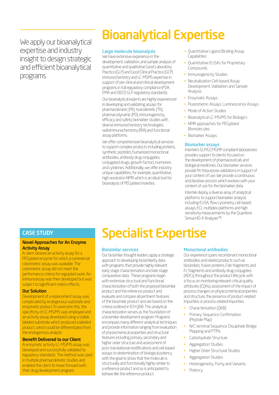We apply our bioanalytical expertise and industry insight to design strategic and efficient bioanalytical programs

# Bioanalytical Expertise

#### Large molecule bioanalysis

We have extensive experience in the development, validation, and sample analysis of quantitative and qualitative Good Laboratory Practice (GLP) and Good Clinical Practice (GCP) immunochemistry and LC-MSMS expertise in support of pre-clinical and clinical development programs in full regulatory compliance (FDA, EMA and OECD GLP regulatory standards).

Our bioanalytical experts are highly experienced in developing and validating assays for pharmacokinetic (PK), toxicokinetic (TK), pharmacodynamic (PD), immunogenicity, efficacy and safety biomarker studies with diverse immunochemistry technologies, radioimmunochemistry (RIA) and functional assay platforms.

We offer comprehensive bioanalytical services to support complex products including proteins, synthetic peptides, humanized monoclonal antibodies, antibody drug conjugates, conjugated drugs, growth factors, hormones and cytokines. Additionally, we offer industry unique capabilities, for example, quantitative, high resolution NMR which is an ideal tool for bioanalysis of PEGylated moieties.

- Quantitative Ligand Binding Assay Capabilities
- Quantitative ELISAs for Proprietary Compounds
- Immunogenicity Studies
- Neutralization Cell-based Assay Development, Validation and Sample Analysis
- Enzymatic Assays
- Fluorometric Assays, Luminescence Assays
- Mode of Action Studies
- Bioanalytical LC-MS/MS for Biologics
- NMR approaches for PEGylated Biomolecules
- Biomarker Assays

#### Biomarker assays

Intertek's GLP/GCP/GMP compliant laboratories provides support to clients focused on the development of pharmaceuticals and biological medicines. Our biomarker services provide fit-forpurpose validations in support of your context of use. We provide a continuous and iterative process which evolves with your context of use for the biomarker data.

Intertek deploy a diverse array of analytical platforms to support biomarker analysis including ELISA, flow cytometry, cell-based assays, ECL multiplex platforms and high sensitivity measurements by the Quanterix Simoa HD-X Analyzer™.

### CASE STUDY

#### Novel Approaches for An Enzyme Activity Assay

A client desired an activity assay for a PEGylated enzyme for which a commercial colorimetric assay was available. The colorimetric assay did not meet the performance criteria for regulated work. An immunoassay was then developed but was subject to significant matrix effects.

#### Our Solution

Development of a replacement assay was complicated by endogenous substrate and enzymatic product.To overcome this, the specificity of LC-MS/MS was employed and an activity assay developed using a stable labeled substrate which produced a labeled product, which could be differentiated from the endogenous analyte.

#### Benefit Delivered to our Client

A enzymatic activity LC-MS/MS assay was developed and successfully validated to regulatory standards. The method was used in multiple pharmacokinetic studies and enabled the client to move forward with their drug development program.

### Specialist Expertise

#### Biosimilar services

Our biosimilar thought leaders apply a strategic approach to developing biosimilarity data with programs that provide highly relevant early stage characterisation and late stage comparative data. These programs begin with extensive structural and functional characterization of both the proposed biosimilar product and the reference product and evaluate and compare all pertinent features of the biosimilar product and are based on the criteria outlined in ICH Q6B. This analytical characterization serves as the foundation of a biosimilar development program. Programs encompass many different analytical techniques and provide information ranging from evaluation of physiochemical properties and structural features including primary, secondary and higher order structure and assessment of post-translational modifications and cell-based assays to determination of biological potency with the goal to show that the molecule is structurally and functionally highly similar to a reference product and so is anticipated to behave like the reference product.

#### Monoclonal antibodies

Our experience spans recombinant monoclonal antibodies and related products such as biosimilars, fusion proteins, Fab-fragments and Fc fragments and antibody drug conjugates (ADCs) throughout the product lifecycle with a focus on monitoring relevant critical quality attributes (CQAs), assessment of the impact of process changes on physicochemical properties and structure, the presence of product-related impurities or process-related impurities.

- Characterisation (Q6B)
- Primary Sequence Confirmation (Peptide Map)
- N/C terminal Sequence, Disulphide Bridge Mapping and PTMs
- Carbohydrate Structure
- Aggregation Studies
- Higher Order Structural Studies
- Aggregation Studies
- Heterogeneity, Purity and Variants
- **Potency**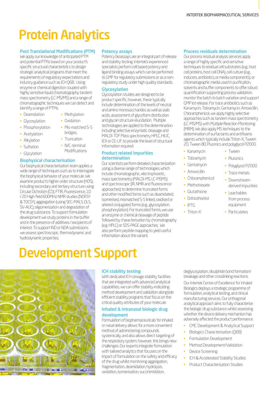# Protein Analytics

#### Post Translational Modifications (PTM)

We apply our knowledge of anticipated PTM and potential PTMs based on your product's specific structural characteristics to design strategic analytical programs that meet the requirements of regulatory expectations and industry guidance such as ICH Q6B. Using enzyme or chemical digestion coupled with highly sensitive liquid chromatography tandem mass spectrometry (LC-MS/MS) and a range of chromatographic techniques we can detect and identify a range of PTMs.

- **Deamidation**
- **Glycosylation**
- **Phosphorylation**
- **Acetylation**
- Alkylation
- Sulfation
- Glycylation

#### Biophysical characterisation

Our biophysical characterisation team applies a wide range of techniques such as to interrogate the biophysical behavior of your molecule. We examine product's higher-order structure (HOS), including secondary and tertiary structure using Circular Dichroism (CD), FTIR, Fluorescence, 1D / 2D High field 600MHz NMR studies (NOESY & TOCSY), aggregation (using SEC–MALS, DLS, SV-AUC), oligomerization and degradation of the drug substance. To support formulation development we study proteins in the buffer and in the presence of additives / excipients of interest. To support IND or NDA submissions we assess spectroscopic, thermodynamic and hydrodynamic properties.

#### Potency assays

Potency bioassays are an integral part of release and stability testing. Intertek's experienced specialists perform cell based potency and ligand binding assays which can be performed to GMP for regulatory submissions or as a nonregulatory study under high quality standards.

#### Glycosylation

Glycosylation studies are designed to be product specific, however, these typically include determination of the levels of neutral and amino monosaccharides as well as sialic acids, assessment of glycoform distribution and glycan structure elucidation. Multiple technologies are applied to the determination including selective enzymatic cleavage and MALDI-TOF Mass spectrometry HPLC, HILIC, IEX or CE-LIF, to provide the level of structural information required.

#### Product related impurities determination

Our scientists perform detailed characterization using a diverse range of technologies which include chromatographic, electrophoretic, mass spectrometry (MALDI-MS, LC-MSMS) and spectroscopic (IR, NMR and fluorescence approaches) to determine truncated forms and other modified forms such as deamidated, isomerised, mismatched S-S linked, oxidised or altered conjugated forms (e.g., glycosylation, phosphorylation). For truncated forms, we use an enzyme or chemical cleavage of peptide followed by characterisation by chromatography (e.g. HPLC) or SDS-PAGE approaches. We also perform peptide mapping to yield useful information about the variant.

#### Process residuals determination

Our process residual analysis services apply a range of highly specific and sensitive techniques to residual cell substrates (e.g., host cell proteins, host cell DNA), cell culture (e.g., inducers, antibiotics, or media components), or chromatographic media used in purification, solvents and buffer components to offer robust quantification supporting process validation, monitor the batch to batch variation and support GMP lot release. For trace antibiotics such as Kanamycin, Tobramycin, Gentamycin, Amoxicillin, Chloramphenicol, we apply highly selective approaches such as tandem mass spectrometry (LC-MS/MS) with Multiple Reaction Monitoring (MRM). We also apply MS techniques to the determination of surfactants and antifoams agents which typically include Triton-X, Tween 20, Tween 80, Pluronics and polyglycol P2000.

- Kanamycin
- Tobramycin
- Gentamycin
- Amoxicillin
- Chloramphenicol
- Methotrexate
- Glutathione
- **Dithiothreitol**
- IPTG
- Triton-X
- Tween
- Pluronics
- Polyglycol P2000
- Trace metals
- Downstreamderived impurities
- Leachables from process equipment
- Particulates



### ICH stability testing

With dedicated ICH storage stability facilities that are integrated with advanced analytical capabilities, we can offer stability-indicating method development and validation alongside efficient stability programs that focus on the critical quality attributes of your molecule.

#### Inhaled & intranasal biologic drug development

Formulation of biopharmaceuticals for inhaled or nasal delivery allows for a more convenient method of administering compounds systemically, and also allows direct targeting of the respiratory system, however, this brings new challenges. Our experts integrate formulation with tailored analytics that focuses on the impact of formulation on the safety and efficacy of the drug whilst monitoring aggregation, fragmentation, deamidation, hydrolysis, oxidation, isomerisation, succinimidation,

deglycosylation, disulphide bond formation/ breakage and other crosslinking reactions.

Our Intertek Centre of Excellence for Inhaled Biologics deploys a strategic programme of formulation, analytical testing, and clinical manufacturing services. Our orthogonal analytical approach aims to fully characterise the biologic drug substance whilst assessing whether the device delivery mechanism has adversely affected the product performance.

- CMC Development & Analytical Support
- Biologics Characterisation (Q6B)
- Formulation Development
- Method Development/Validation
- Device Screening
- ICH & Accelerated Stability Studies
- Product Characterisation Studies

bridges

Development Support

• Truncation

• Methylation

- N/C-terminal Modifications
- 

### • Oxidation • Mis-matched S-S